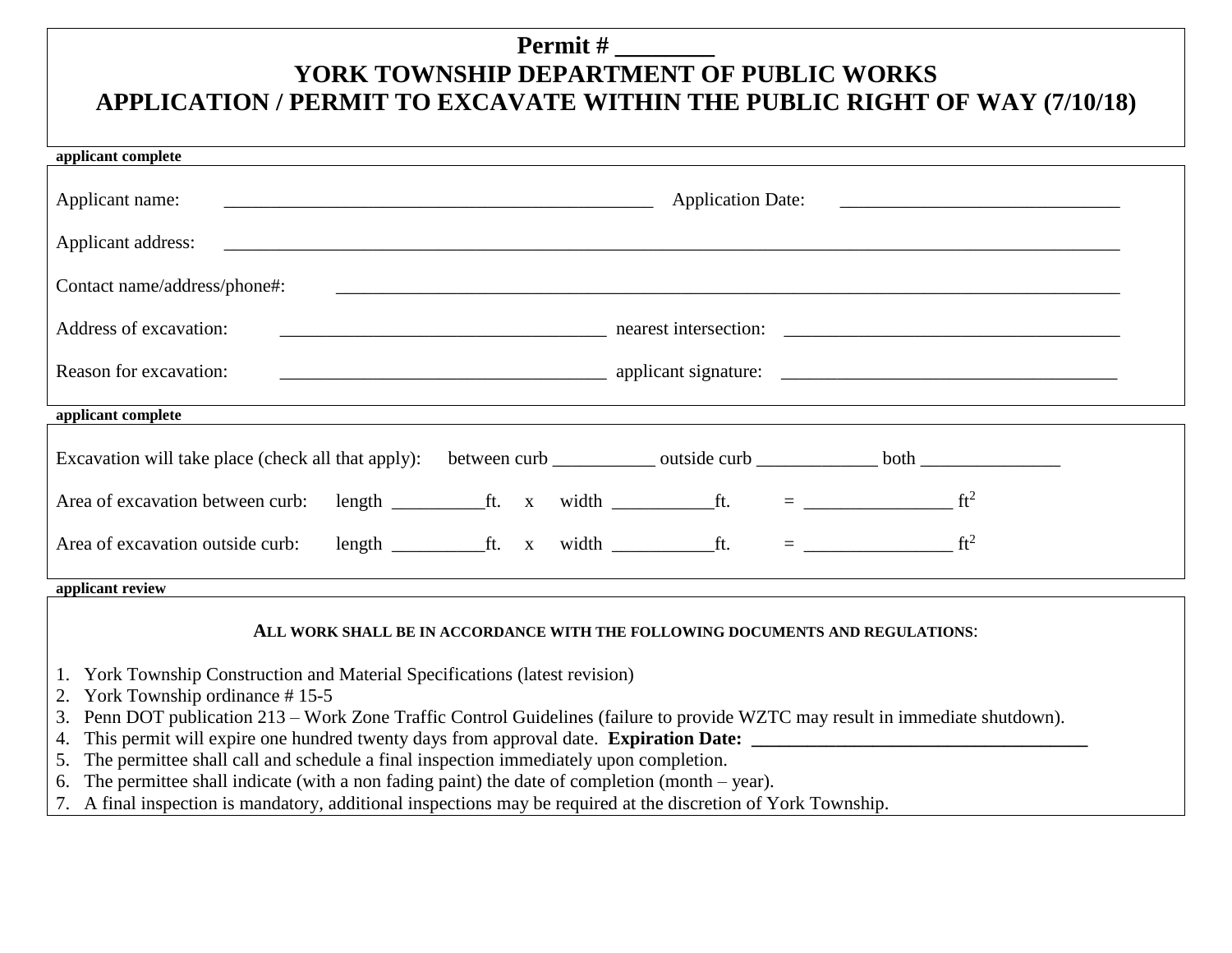## **Permit # \_\_\_\_\_\_\_\_ YORK TOWNSHIP DEPARTMENT OF PUBLIC WORKS APPLICATION / PERMIT TO EXCAVATE WITHIN THE PUBLIC RIGHT OF WAY (7/10/18)**

| applicant complete                                                                                                   |  |  |  |  |
|----------------------------------------------------------------------------------------------------------------------|--|--|--|--|
| Applicant name:                                                                                                      |  |  |  |  |
|                                                                                                                      |  |  |  |  |
| Contact name/address/phone#:                                                                                         |  |  |  |  |
| Address of excavation:                                                                                               |  |  |  |  |
| Reason for excavation:<br>$\frac{1}{2}$ applicant signature: $\frac{1}{2}$ applicant signature:                      |  |  |  |  |
| applicant complete                                                                                                   |  |  |  |  |
|                                                                                                                      |  |  |  |  |
| Area of excavation between curb: length ___________ft. x width ___________ft. = ____________________ ft <sup>2</sup> |  |  |  |  |
| length $f1$ ft. x width $f2$ ft. $=$ $f1$ ft <sup>2</sup><br>Area of excavation outside curb:                        |  |  |  |  |
| applicant review                                                                                                     |  |  |  |  |

## **ALL WORK SHALL BE IN ACCORDANCE WITH THE FOLLOWING DOCUMENTS AND REGULATIONS**:

- 1. York Township Construction and Material Specifications (latest revision)
- 2. York Township ordinance # 15-5
- 3. Penn DOT publication 213 Work Zone Traffic Control Guidelines (failure to provide WZTC may result in immediate shutdown).
- 4. This permit will expire one hundred twenty days from approval date. **Expiration Date:**
- 5. The permittee shall call and schedule a final inspection immediately upon completion.
- 6. The permittee shall indicate (with a non fading paint) the date of completion (month year).
- 7. A final inspection is mandatory, additional inspections may be required at the discretion of York Township.